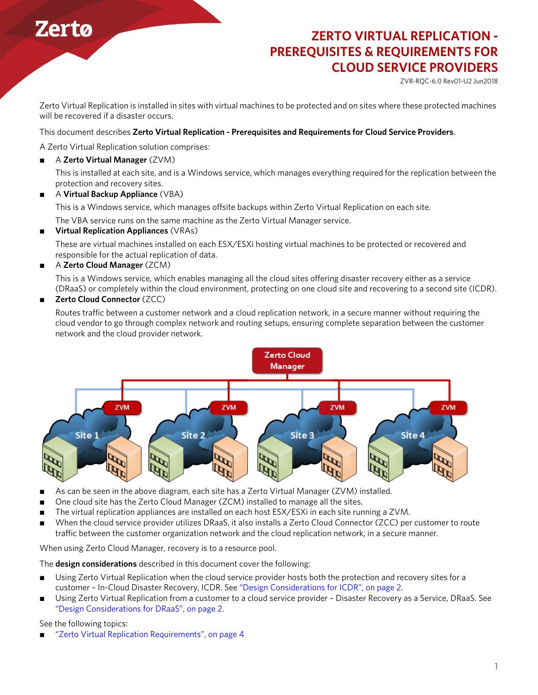# **Zerto**

# **ZERTO VIRTUAL REPLICATION - PREREQUISITES & REQUIREMENTS FOR CLOUD SERVICE PROVIDERS**

ZVR-RQC-6.0 Rev01-U2 Jun2018

Zerto Virtual Replication is installed in sites with virtual machines to be protected and on sites where these protected machines will be recovered if a disaster occurs.

#### This document describes **Zerto Virtual Replication - Prerequisites and Requirements for Cloud Service Providers**.

A Zerto Virtual Replication solution comprises:

■ A **Zerto Virtual Manager** (ZVM)

This is installed at each site, and is a Windows service, which manages everything required for the replication between the protection and recovery sites.

■ A **Virtual Backup Appliance** (VBA)

This is a Windows service, which manages offsite backups within Zerto Virtual Replication on each site.

The VBA service runs on the same machine as the Zerto Virtual Manager service.

■ **Virtual Replication Appliances** (VRAs)

These are virtual machines installed on each ESX/ESXi hosting virtual machines to be protected or recovered and responsible for the actual replication of data.

■ A **Zerto Cloud Manager** (ZCM)

This is a Windows service, which enables managing all the cloud sites offering disaster recovery either as a service (DRaaS) or completely within the cloud environment, protecting on one cloud site and recovering to a second site (ICDR).

■ **Zerto Cloud Connector** (ZCC)

Routes traffic between a customer network and a cloud replication network, in a secure manner without requiring the cloud vendor to go through complex network and routing setups, ensuring complete separation between the customer network and the cloud provider network.



- As can be seen in the above diagram, each site has a Zerto Virtual Manager (ZVM) installed.
- One cloud site has the Zerto Cloud Manager (ZCM) installed to manage all the sites.
- The virtual replication appliances are installed on each host ESX/ESXi in each site running a ZVM.
- When the cloud service provider utilizes DRaaS, it also installs a Zerto Cloud Connector (ZCC) per customer to route traffic between the customer organization network and the cloud replication network, in a secure manner.

When using Zerto Cloud Manager, recovery is to a resource pool.

The **design considerations** described in this document cover the following:

- Using Zerto Virtual Replication when the cloud service provider hosts both the protection and recovery sites for a customer – In-Cloud Disaster Recovery, ICDR. See ["Design Considerations for ICDR", on page 2.](#page-1-0)
- Using Zerto Virtual Replication from a customer to a cloud service provider Disaster Recovery as a Service, DRaaS. See ["Design Considerations for DRaaS", on page 2](#page-1-1).

See the following topics:

["Zerto Virtual Replication Requirements", on page 4](#page-3-0)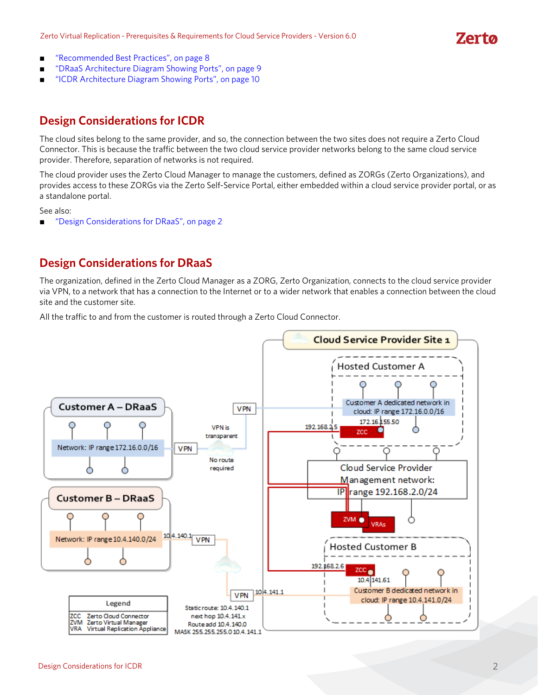# **Zerta**

- ["Recommended Best Practices", on page 8](#page-7-0)
- ["DRaaS Architecture Diagram Showing Ports", on page 9](#page-8-0)
- ["ICDR Architecture Diagram Showing Ports", on page 10](#page-9-0)

## <span id="page-1-0"></span>**Design Considerations for ICDR**

The cloud sites belong to the same provider, and so, the connection between the two sites does not require a Zerto Cloud Connector. This is because the traffic between the two cloud service provider networks belong to the same cloud service provider. Therefore, separation of networks is not required.

The cloud provider uses the Zerto Cloud Manager to manage the customers, defined as ZORGs (Zerto Organizations), and provides access to these ZORGs via the Zerto Self-Service Portal, either embedded within a cloud service provider portal, or as a standalone portal.

See also:

■ *"Design Considerations for DRaaS"*, on page 2

### <span id="page-1-1"></span>**Design Considerations for DRaaS**

The organization, defined in the Zerto Cloud Manager as a ZORG, Zerto Organization, connects to the cloud service provider via VPN, to a network that has a connection to the Internet or to a wider network that enables a connection between the cloud site and the customer site.

All the traffic to and from the customer is routed through a Zerto Cloud Connector.

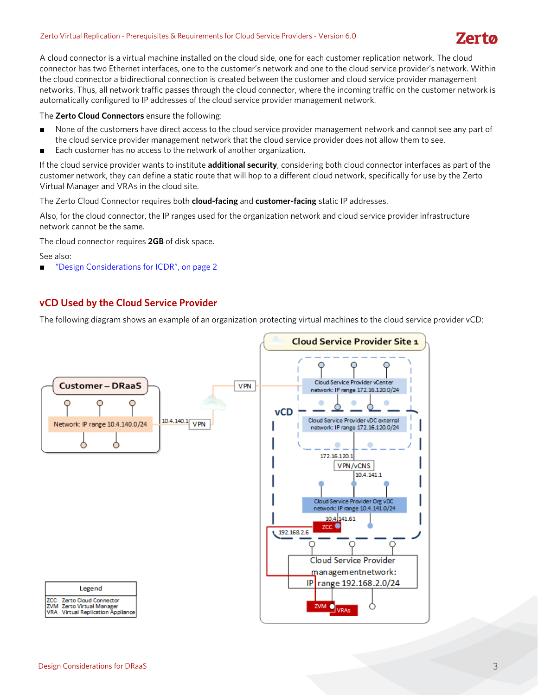#### Zerto Virtual Replication - Prerequisites & Requirements for Cloud Service Providers - Version 6.0

# **Zerto**

A cloud connector is a virtual machine installed on the cloud side, one for each customer replication network. The cloud connector has two Ethernet interfaces, one to the customer's network and one to the cloud service provider's network. Within the cloud connector a bidirectional connection is created between the customer and cloud service provider management networks. Thus, all network traffic passes through the cloud connector, where the incoming traffic on the customer network is automatically configured to IP addresses of the cloud service provider management network.

The **Zerto Cloud Connectors** ensure the following:

- None of the customers have direct access to the cloud service provider management network and cannot see any part of the cloud service provider management network that the cloud service provider does not allow them to see.
- Each customer has no access to the network of another organization.

If the cloud service provider wants to institute **additional security**, considering both cloud connector interfaces as part of the customer network, they can define a static route that will hop to a different cloud network, specifically for use by the Zerto Virtual Manager and VRAs in the cloud site.

The Zerto Cloud Connector requires both **cloud-facing** and **customer-facing** static IP addresses.

Also, for the cloud connector, the IP ranges used for the organization network and cloud service provider infrastructure network cannot be the same.

The cloud connector requires **2GB** of disk space.

See also:

■ *"Design Considerations for ICDR"*, on page 2

#### **vCD Used by the Cloud Service Provider**

The following diagram shows an example of an organization protecting virtual machines to the cloud service provider vCD:

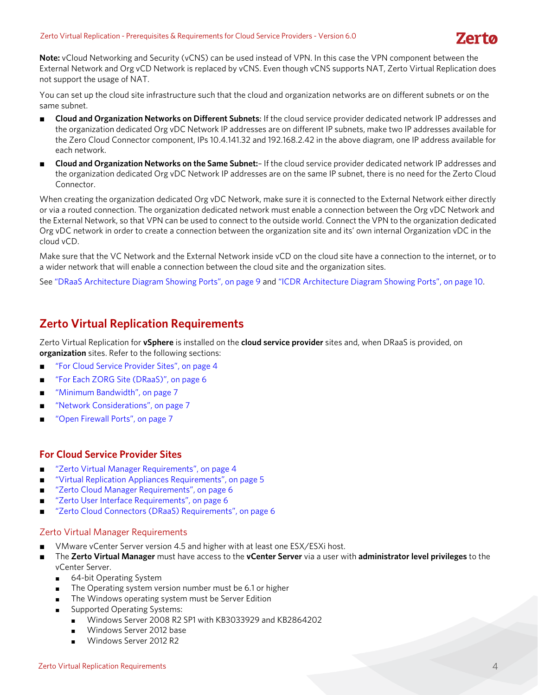**Note:** vCloud Networking and Security (vCNS) can be used instead of VPN. In this case the VPN component between the External Network and Org vCD Network is replaced by vCNS. Even though vCNS supports NAT, Zerto Virtual Replication does not support the usage of NAT.

You can set up the cloud site infrastructure such that the cloud and organization networks are on different subnets or on the same subnet.

- **Cloud and Organization Networks on Different Subnets**: If the cloud service provider dedicated network IP addresses and the organization dedicated Org vDC Network IP addresses are on different IP subnets, make two IP addresses available for the Zero Cloud Connector component, IPs 10.4.141.32 and 192.168.2.42 in the above diagram, one IP address available for each network.
- **Cloud and Organization Networks on the Same Subnet:** If the cloud service provider dedicated network IP addresses and the organization dedicated Org vDC Network IP addresses are on the same IP subnet, there is no need for the Zerto Cloud Connector.

When creating the organization dedicated Org vDC Network, make sure it is connected to the External Network either directly or via a routed connection. The organization dedicated network must enable a connection between the Org vDC Network and the External Network, so that VPN can be used to connect to the outside world. Connect the VPN to the organization dedicated Org vDC network in order to create a connection between the organization site and its' own internal Organization vDC in the cloud vCD.

Make sure that the VC Network and the External Network inside vCD on the cloud site have a connection to the internet, or to a wider network that will enable a connection between the cloud site and the organization sites.

See ["DRaaS Architecture Diagram Showing Ports", on page 9](#page-8-0) and ["ICDR Architecture Diagram Showing Ports", on page 10.](#page-9-0)

### <span id="page-3-0"></span>**Zerto Virtual Replication Requirements**

Zerto Virtual Replication for **vSphere** is installed on the **cloud service provider** sites and, when DRaaS is provided, on **organization** sites. Refer to the following sections:

- ["For Cloud Service Provider Sites", on page 4](#page-3-2)
- ["For Each ZORG Site \(DRaaS\)", on page 6](#page-5-3)
- ["Minimum Bandwidth", on page 7](#page-6-0)
- ["Network Considerations", on page 7](#page-6-1)
- ["Open Firewall Ports", on page 7](#page-6-2)

#### <span id="page-3-2"></span>**For Cloud Service Provider Sites**

- ["Zerto Virtual Manager Requirements", on page 4](#page-3-1)
- ["Virtual Replication Appliances Requirements", on page 5](#page-4-0)
- ["Zerto Cloud Manager Requirements", on page 6](#page-5-0)
- ["Zerto User Interface Requirements", on page 6](#page-5-1)
- ["Zerto Cloud Connectors \(DRaaS\) Requirements", on page 6](#page-5-2)

#### <span id="page-3-1"></span>Zerto Virtual Manager Requirements

- VMware vCenter Server version 4.5 and higher with at least one ESX/ESXi host.
- The **Zerto Virtual Manager** must have access to the **vCenter Server** via a user with **administrator level privileges** to the vCenter Server.
	- 64-bit Operating System
	- The Operating system version number must be 6.1 or higher
	- The Windows operating system must be Server Edition
	- Supported Operating Systems:
		- Windows Server 2008 R2 SP1 with KB3033929 and KB2864202
		- Windows Server 2012 base
		- Windows Server 2012 R2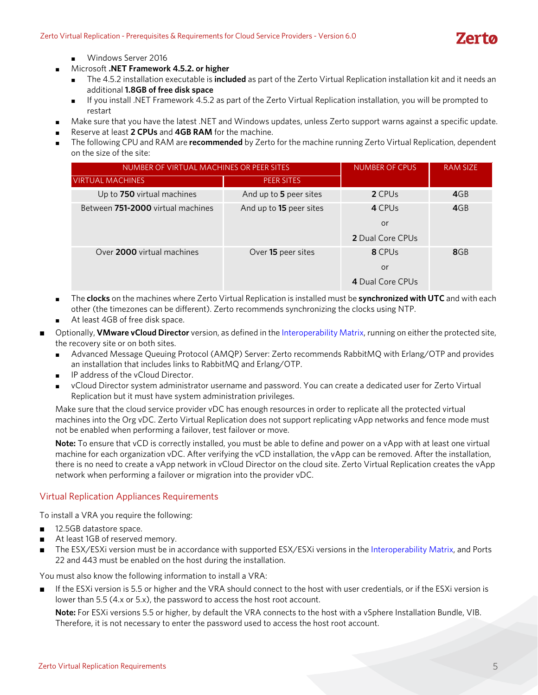

Windows Server 2016

- Microsoft **.NET Framework 4.5.2. or higher**
	- The 4.5.2 installation executable is **included** as part of the Zerto Virtual Replication installation kit and it needs an additional **1.8GB of free disk space**
	- If you install .NET Framework 4.5.2 as part of the Zerto Virtual Replication installation, you will be prompted to restart
- Make sure that you have the latest .NET and Windows updates, unless Zerto support warns against a specific update.
- Reserve at least 2 CPUs and 4GB RAM for the machine.
- The following CPU and RAM are **recommended** by Zerto for the machine running Zerto Virtual Replication, dependent on the size of the site:

| NUMBER OF VIRTUAL MACHINES OR PEER SITES | <b>NUMBER OF CPUS</b>   | <b>RAM SIZE</b>         |     |
|------------------------------------------|-------------------------|-------------------------|-----|
| <b>VIRTUAL MACHINES</b>                  | PEER SITES.             |                         |     |
| Up to 750 virtual machines               | And up to 5 peer sites  | 2 CPU <sub>s</sub>      | 4GB |
| Between 751-2000 virtual machines        | And up to 15 peer sites | 4 CPUs                  | 4GB |
|                                          |                         | or                      |     |
|                                          |                         | <b>2</b> Dual Core CPUs |     |
| Over 2000 virtual machines               | Over 15 peer sites      | 8 CPUs                  | 8GB |
|                                          |                         | or                      |     |
|                                          |                         | 4 Dual Core CPUs        |     |

- The **clocks** on the machines where Zerto Virtual Replication is installed must be **synchronized with UTC** and with each other (the timezones can be different). Zerto recommends synchronizing the clocks using NTP.
- At least 4GB of free disk space.
- Optionally, **VMware vCloud Director** version, as defined in the [Interoperability Matrix](http://s3.amazonaws.com/zertodownload_docs/Latest/Zerto%20Virtual%20Replication%20Operability%20Matrix.pdf), running on either the protected site, the recovery site or on both sites.
	- Advanced Message Queuing Protocol (AMQP) Server: Zerto recommends RabbitMQ with Erlang/OTP and provides an installation that includes links to RabbitMQ and Erlang/OTP.
	- IP address of the vCloud Director.
	- vCloud Director system administrator username and password. You can create a dedicated user for Zerto Virtual Replication but it must have system administration privileges.

Make sure that the cloud service provider vDC has enough resources in order to replicate all the protected virtual machines into the Org vDC. Zerto Virtual Replication does not support replicating vApp networks and fence mode must not be enabled when performing a failover, test failover or move.

**Note:** To ensure that vCD is correctly installed, you must be able to define and power on a vApp with at least one virtual machine for each organization vDC. After verifying the vCD installation, the vApp can be removed. After the installation, there is no need to create a vApp network in vCloud Director on the cloud site. Zerto Virtual Replication creates the vApp network when performing a failover or migration into the provider vDC.

#### <span id="page-4-0"></span>Virtual Replication Appliances Requirements

To install a VRA you require the following:

- 12.5GB datastore space.
- At least 1GB of reserved memory.
- The ESX/ESXi version must be in accordance with supported ESX/ESXi versions in the [Interoperability Matrix](http://s3.amazonaws.com/zertodownload_docs/Latest/Zerto%20Virtual%20Replication%20Operability%20Matrix.pdf), and Ports 22 and 443 must be enabled on the host during the installation.

You must also know the following information to install a VRA:

■ If the ESXi version is 5.5 or higher and the VRA should connect to the host with user credentials, or if the ESXi version is lower than 5.5 (4.x or 5.x), the password to access the host root account.

**Note:** For ESXi versions 5.5 or higher, by default the VRA connects to the host with a vSphere Installation Bundle, VIB. Therefore, it is not necessary to enter the password used to access the host root account.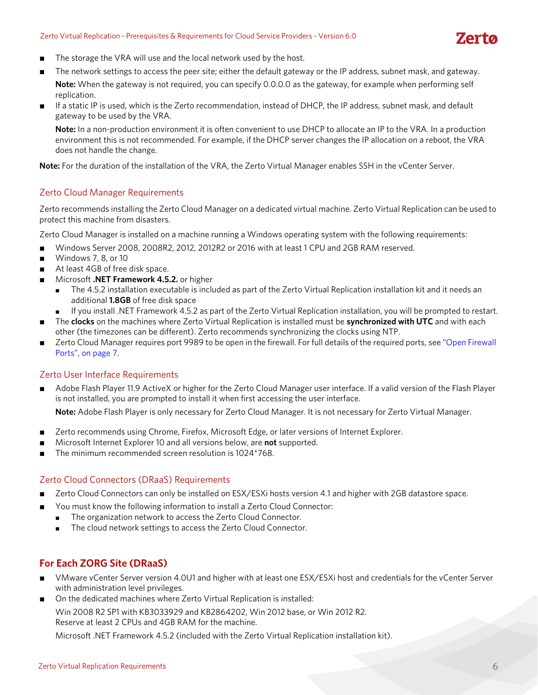

- The storage the VRA will use and the local network used by the host.
- The network settings to access the peer site; either the default gateway or the IP address, subnet mask, and gateway. **Note:** When the gateway is not required, you can specify 0.0.0.0 as the gateway, for example when performing self replication.
- If a static IP is used, which is the Zerto recommendation, instead of DHCP, the IP address, subnet mask, and default gateway to be used by the VRA.

**Note:** In a non-production environment it is often convenient to use DHCP to allocate an IP to the VRA. In a production environment this is not recommended. For example, if the DHCP server changes the IP allocation on a reboot, the VRA does not handle the change.

**Note:** For the duration of the installation of the VRA, the Zerto Virtual Manager enables SSH in the vCenter Server.

#### <span id="page-5-0"></span>Zerto Cloud Manager Requirements

Zerto recommends installing the Zerto Cloud Manager on a dedicated virtual machine. Zerto Virtual Replication can be used to protect this machine from disasters.

Zerto Cloud Manager is installed on a machine running a Windows operating system with the following requirements:

- Windows Server 2008, 2008R2, 2012, 2012R2 or 2016 with at least 1 CPU and 2GB RAM reserved.
- Windows 7, 8, or 10
- At least 4GB of free disk space.
- Microsoft **.NET Framework 4.5.2.** or higher
	- The 4.5.2 installation executable is included as part of the Zerto Virtual Replication installation kit and it needs an additional **1.8GB** of free disk space
	- If you install .NET Framework 4.5.2 as part of the Zerto Virtual Replication installation, you will be prompted to restart.
- The **clocks** on the machines where Zerto Virtual Replication is installed must be **synchronized with UTC** and with each other (the timezones can be different). Zerto recommends synchronizing the clocks using NTP.
- Zerto Cloud Manager requires port 9989 to be open in the firewall. For full details of the required ports, see "Open Firewall [Ports", on page 7](#page-6-2).

#### <span id="page-5-1"></span>Zerto User Interface Requirements

■ Adobe Flash Player 11.9 ActiveX or higher for the Zerto Cloud Manager user interface. If a valid version of the Flash Player is not installed, you are prompted to install it when first accessing the user interface.

**Note:** Adobe Flash Player is only necessary for Zerto Cloud Manager. It is not necessary for Zerto Virtual Manager.

- Zerto recommends using Chrome, Firefox, Microsoft Edge, or later versions of Internet Explorer.
- Microsoft Internet Explorer 10 and all versions below, are **not** supported.
- The minimum recommended screen resolution is 1024\*768.

#### <span id="page-5-2"></span>Zerto Cloud Connectors (DRaaS) Requirements

- Zerto Cloud Connectors can only be installed on ESX/ESXi hosts version 4.1 and higher with 2GB datastore space.
- You must know the following information to install a Zerto Cloud Connector:
- The organization network to access the Zerto Cloud Connector.
	- The cloud network settings to access the Zerto Cloud Connector.

#### <span id="page-5-3"></span>**For Each ZORG Site (DRaaS)**

- VMware vCenter Server version 4.0U1 and higher with at least one ESX/ESXi host and credentials for the vCenter Server with administration level privileges.
- On the dedicated machines where Zerto Virtual Replication is installed: Win 2008 R2 SP1 with KB3033929 and KB2864202, Win 2012 base, or Win 2012 R2. Reserve at least 2 CPUs and 4GB RAM for the machine.

Microsoft .NET Framework 4.5.2 (included with the Zerto Virtual Replication installation kit).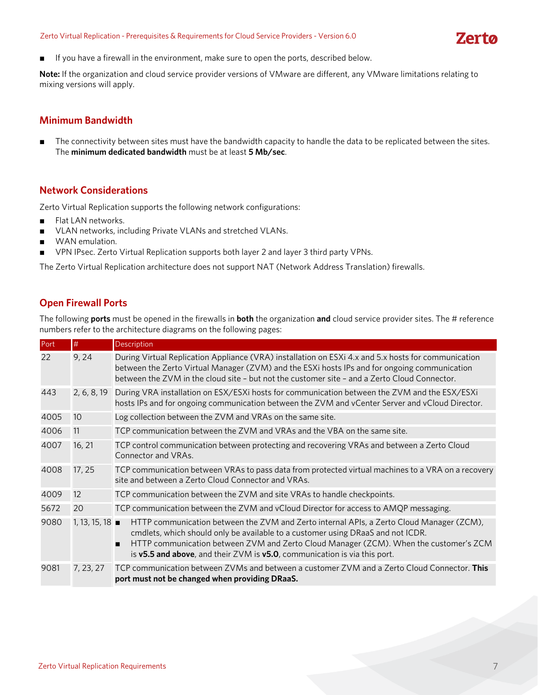#### Zerto Virtual Replication - Prerequisites & Requirements for Cloud Service Providers - Version 6.0



■ If you have a firewall in the environment, make sure to open the ports, described below.

**Note:** If the organization and cloud service provider versions of VMware are different, any VMware limitations relating to mixing versions will apply.

#### <span id="page-6-0"></span>**Minimum Bandwidth**

■ The connectivity between sites must have the bandwidth capacity to handle the data to be replicated between the sites. The **minimum dedicated bandwidth** must be at least **5 Mb/sec**.

#### <span id="page-6-1"></span>**Network Considerations**

Zerto Virtual Replication supports the following network configurations:

- Flat LAN networks.
- VLAN networks, including Private VLANs and stretched VLANs.
- WAN emulation.
- VPN IPsec. Zerto Virtual Replication supports both layer 2 and layer 3 third party VPNs.

The Zerto Virtual Replication architecture does not support NAT (Network Address Translation) firewalls.

#### <span id="page-6-2"></span>**Open Firewall Ports**

The following **ports** must be opened in the firewalls in **both** the organization **and** cloud service provider sites. The # reference numbers refer to the architecture diagrams on the following pages:

| Port | #             | Description                                                                                                                                                                                                                                                                                                                                                 |
|------|---------------|-------------------------------------------------------------------------------------------------------------------------------------------------------------------------------------------------------------------------------------------------------------------------------------------------------------------------------------------------------------|
| 22   | 9,24          | During Virtual Replication Appliance (VRA) installation on ESXi 4.x and 5.x hosts for communication<br>between the Zerto Virtual Manager (ZVM) and the ESXi hosts IPs and for ongoing communication<br>between the ZVM in the cloud site - but not the customer site - and a Zerto Cloud Connector.                                                         |
| 443  | 2, 6, 8, 19   | During VRA installation on ESX/ESXi hosts for communication between the ZVM and the ESX/ESXi<br>hosts IPs and for ongoing communication between the ZVM and vCenter Server and vCloud Director.                                                                                                                                                             |
| 4005 | 10            | Log collection between the ZVM and VRAs on the same site.                                                                                                                                                                                                                                                                                                   |
| 4006 | 11            | TCP communication between the ZVM and VRAs and the VBA on the same site.                                                                                                                                                                                                                                                                                    |
| 4007 | 16, 21        | TCP control communication between protecting and recovering VRAs and between a Zerto Cloud<br>Connector and VRAs.                                                                                                                                                                                                                                           |
| 4008 | 17, 25        | TCP communication between VRAs to pass data from protected virtual machines to a VRA on a recovery<br>site and between a Zerto Cloud Connector and VRAs.                                                                                                                                                                                                    |
| 4009 | 12            | TCP communication between the ZVM and site VRAs to handle checkpoints.                                                                                                                                                                                                                                                                                      |
| 5672 | 20            | TCP communication between the ZVM and vCloud Director for access to AMQP messaging.                                                                                                                                                                                                                                                                         |
| 9080 | 1, 13, 15, 18 | HTTP communication between the ZVM and Zerto internal APIs, a Zerto Cloud Manager (ZCM),<br>cmdlets, which should only be available to a customer using DRaaS and not ICDR.<br>HTTP communication between ZVM and Zerto Cloud Manager (ZCM). When the customer's ZCM<br>п<br>is $v5.5$ and above, and their ZVM is $v5.0$ , communication is via this port. |
| 9081 | 7, 23, 27     | TCP communication between ZVMs and between a customer ZVM and a Zerto Cloud Connector. This<br>port must not be changed when providing DRaaS.                                                                                                                                                                                                               |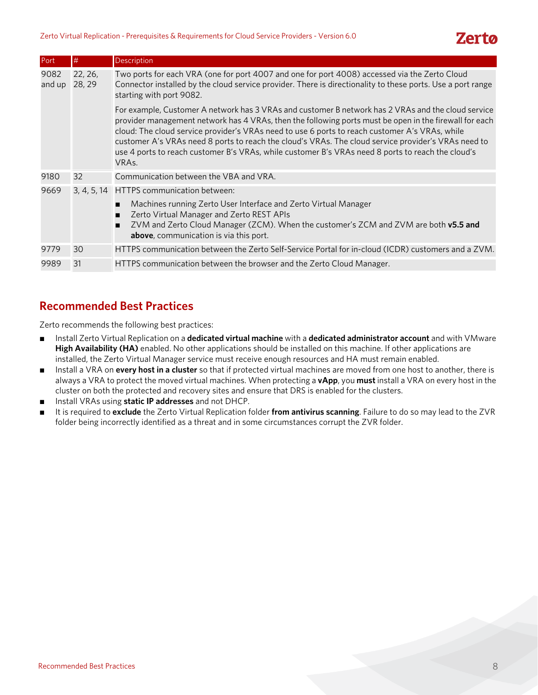| Port           | #                 | Description                                                                                                                                                                                                                                                                                                                                                                                                                                                                                                                                      |
|----------------|-------------------|--------------------------------------------------------------------------------------------------------------------------------------------------------------------------------------------------------------------------------------------------------------------------------------------------------------------------------------------------------------------------------------------------------------------------------------------------------------------------------------------------------------------------------------------------|
| 9082<br>and up | 22, 26,<br>28, 29 | Two ports for each VRA (one for port 4007 and one for port 4008) accessed via the Zerto Cloud<br>Connector installed by the cloud service provider. There is directionality to these ports. Use a port range<br>starting with port 9082.                                                                                                                                                                                                                                                                                                         |
|                |                   | For example, Customer A network has 3 VRAs and customer B network has 2 VRAs and the cloud service<br>provider management network has 4 VRAs, then the following ports must be open in the firewall for each<br>cloud: The cloud service provider's VRAs need to use 6 ports to reach customer A's VRAs, while<br>customer A's VRAs need 8 ports to reach the cloud's VRAs. The cloud service provider's VRAs need to<br>use 4 ports to reach customer B's VRAs, while customer B's VRAs need 8 ports to reach the cloud's<br>VRA <sub>S</sub> . |
| 9180           | 32                | Communication between the VBA and VRA.                                                                                                                                                                                                                                                                                                                                                                                                                                                                                                           |
| 9669           |                   | 3, 4, 5, 14 HTTPS communication between:                                                                                                                                                                                                                                                                                                                                                                                                                                                                                                         |
|                |                   | Machines running Zerto User Interface and Zerto Virtual Manager<br>Zerto Virtual Manager and Zerto REST APIs<br>ZVM and Zerto Cloud Manager (ZCM). When the customer's ZCM and ZVM are both v5.5 and<br><b>above</b> , communication is via this port.                                                                                                                                                                                                                                                                                           |
| 9779           | 30                | HTTPS communication between the Zerto Self-Service Portal for in-cloud (ICDR) customers and a ZVM.                                                                                                                                                                                                                                                                                                                                                                                                                                               |
| 9989           | 31                | HTTPS communication between the browser and the Zerto Cloud Manager.                                                                                                                                                                                                                                                                                                                                                                                                                                                                             |

# <span id="page-7-0"></span>**Recommended Best Practices**

Zerto recommends the following best practices:

- Install Zerto Virtual Replication on a **dedicated virtual machine** with a **dedicated administrator account** and with VMware **High Availability (HA)** enabled. No other applications should be installed on this machine. If other applications are installed, the Zerto Virtual Manager service must receive enough resources and HA must remain enabled.
- Install a VRA on **every host in a cluster** so that if protected virtual machines are moved from one host to another, there is always a VRA to protect the moved virtual machines. When protecting a **vApp**, you **must** install a VRA on every host in the cluster on both the protected and recovery sites and ensure that DRS is enabled for the clusters.
- Install VRAs using **static IP addresses** and not DHCP.
- It is required to **exclude** the Zerto Virtual Replication folder **from antivirus scanning**. Failure to do so may lead to the ZVR folder being incorrectly identified as a threat and in some circumstances corrupt the ZVR folder.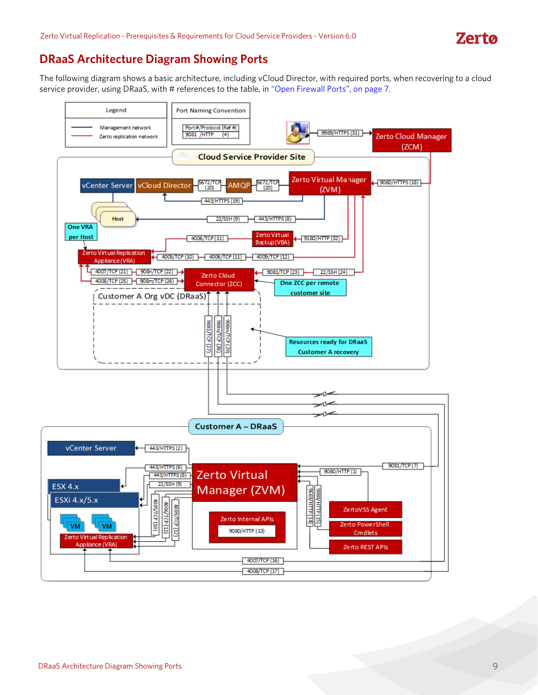# <span id="page-8-0"></span>**DRaaS Architecture Diagram Showing Ports**

The following diagram shows a basic architecture, including vCloud Director, with required ports, when recovering to a cloud service provider, using DRaaS, with # references to the table, in ["Open Firewall Ports", on page 7.](#page-6-2)